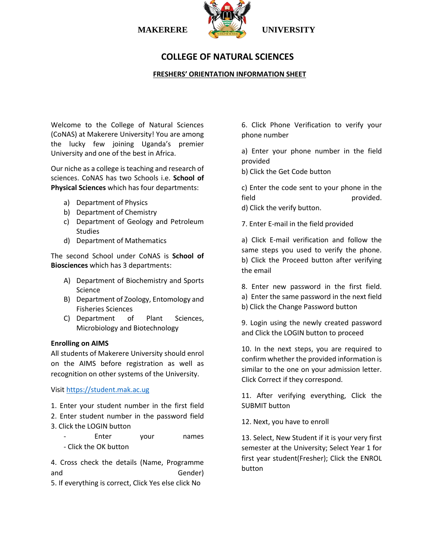



# **COLLEGE OF NATURAL SCIENCES**

## **FRESHERS' ORIENTATION INFORMATION SHEET**

Welcome to the College of Natural Sciences (CoNAS) at Makerere University! You are among the lucky few joining Uganda's premier University and one of the best in Africa.

Our niche as a college is teaching and research of sciences. CoNAS has two Schools i.e. **School of Physical Sciences** which has four departments:

- a) Department of Physics
- b) Department of Chemistry
- c) Department of Geology and Petroleum Studies
- d) Department of Mathematics

The second School under CoNAS is **School of Biosciences** which has 3 departments:

- A) Department of Biochemistry and Sports Science
- B) Department of Zoology, Entomology and Fisheries Sciences
- C) Department of Plant Sciences, Microbiology and Biotechnology

## **Enrolling on AIMS**

All students of Makerere University should enrol on the AIMS before registration as well as recognition on other systems of the University.

Visit [https://student.mak.ac.ug](https://student.mak.ac.ug/)

- 1. Enter your student number in the first field
- 2. Enter student number in the password field
- 3. Click the LOGIN button
	- Enter your names - Click the OK button

4. Cross check the details (Name, Programme and Gender)

5. If everything is correct, Click Yes else click No

6. Click Phone Verification to verify your phone number

a) Enter your phone number in the field provided

b) Click the Get Code button

c) Enter the code sent to your phone in the field provided. d) Click the verify button.

7. Enter E-mail in the field provided

a) Click E-mail verification and follow the same steps you used to verify the phone. b) Click the Proceed button after verifying the email

- 8. Enter new password in the first field.
- a) Enter the same password in the next field
- b) Click the Change Password button

9. Login using the newly created password and Click the LOGIN button to proceed

10. In the next steps, you are required to confirm whether the provided information is similar to the one on your admission letter. Click Correct if they correspond.

11. After verifying everything, Click the SUBMIT button

12. Next, you have to enroll

13. Select, New Student if it is your very first semester at the University; Select Year 1 for first year student(Fresher); Click the ENROL button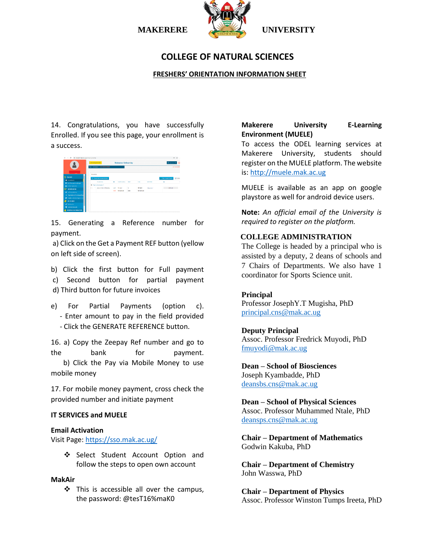

# **COLLEGE OF NATURAL SCIENCES**

## **FRESHERS' ORIENTATION INFORMATION SHEET**

14. Congratulations, you have successfully Enrolled. If you see this page, your enrollment is a success.



15. Generating a Reference number for payment.

a) Click on the Get a Payment REF button (yellow on left side of screen).

b) Click the first button for Full payment c) Second button for partial payment d) Third button for future invoices

e) For Partial Payments (option c). - Enter amount to pay in the field provided - Click the GENERATE REFERENCE button.

16. a) Copy the Zeepay Ref number and go to the bank for payment. b) Click the Pay via Mobile Money to use mobile money

17. For mobile money payment, cross check the provided number and initiate payment

### **IT SERVICES and MUELE**

#### **Email Activation**

Visit Page:<https://sso.mak.ac.ug/>

Select Student Account Option and follow the steps to open own account

#### **MakAir**

 This is accessible all over the campus, the password: @tesT16%maK0

## **Makerere University E-Learning Environment (MUELE)**

To access the ODEL learning services at Makerere University, students should register on the MUELE platform. The website is: [http://muele.mak.ac.ug](http://muele.mak.ac.ug/)

MUELE is available as an app on google playstore as well for android device users.

**Note:** *An official email of the University is required to register on the platform.* 

### **COLLEGE ADMINISTRATION**

The College is headed by a principal who is assisted by a deputy, 2 deans of schools and 7 Chairs of Departments. We also have 1 coordinator for Sports Science unit.

### **Principal**

Professor JosephY.T Mugisha, PhD [principal.cns@mak.ac.ug](mailto:principal.cns@mak.ac.ug)

## **Deputy Principal**

Assoc. Professor Fredrick Muyodi, PhD [fmuyodi@mak.ac.ug](mailto:fmuyodi@mak.ac.ug)

**Dean – School of Biosciences** Joseph Kyambadde, PhD [deansbs.cns@mak.ac.ug](mailto:deansbs.cns@mak.ac.ug)

**Dean – School of Physical Sciences** Assoc. Professor Muhammed Ntale, PhD [deansps.cns@mak.ac.ug](mailto:deansps.cns@mak.ac.ug)

**Chair – Department of Mathematics** Godwin Kakuba, PhD

**Chair – Department of Chemistry** John Wasswa, PhD

**Chair – Department of Physics** Assoc. Professor Winston Tumps Ireeta, PhD